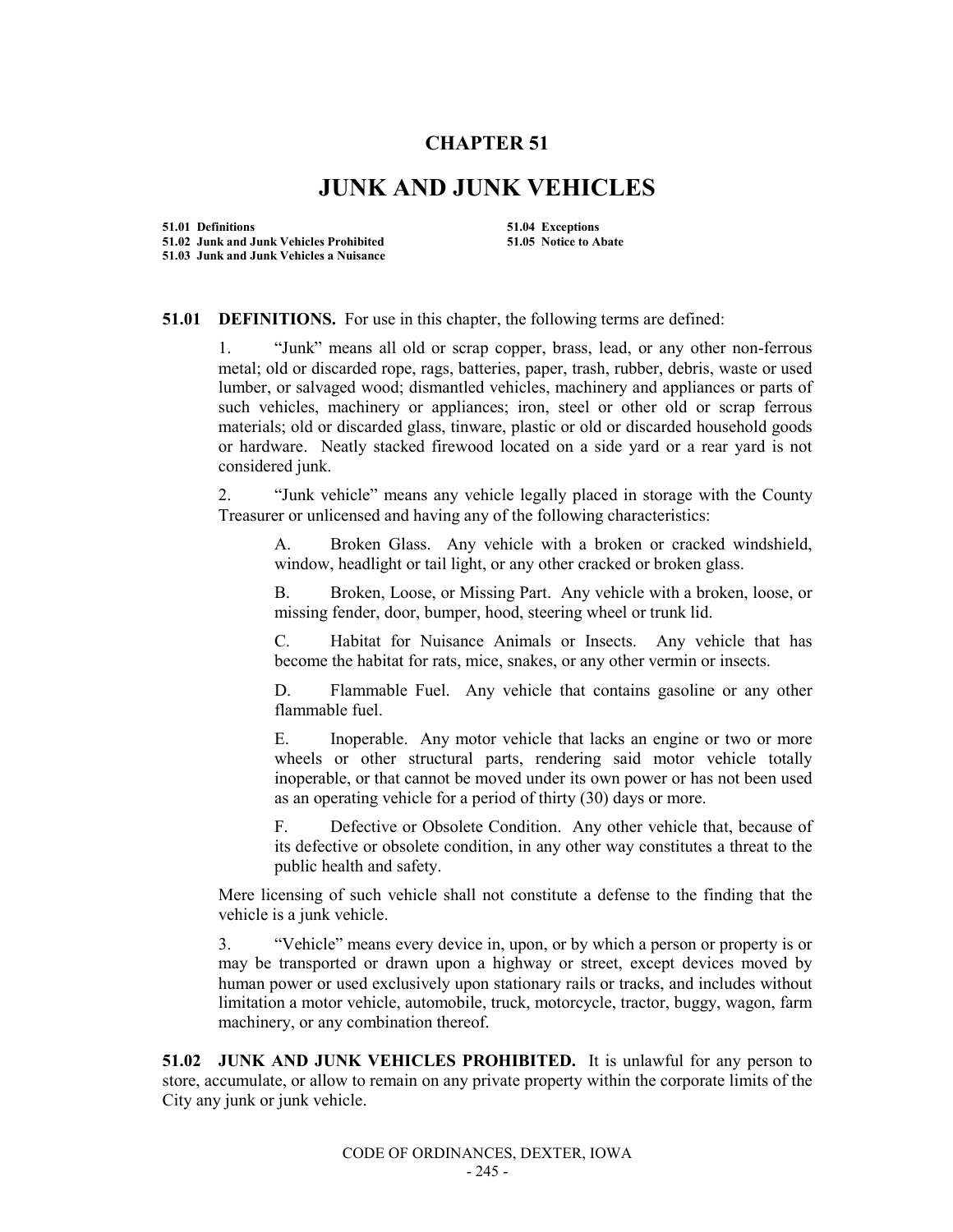## **CHAPTER 51**

## **JUNK AND JUNK VEHICLES**

**51.01 Definitions 51.04 Exceptions 51.02 Junk and Junk Vehicles Prohibited 51.05 Notice to Abate 51.03 Junk and Junk Vehicles a Nuisance**

## **51.01 DEFINITIONS.** For use in this chapter, the following terms are defined:

1. "Junk" means all old or scrap copper, brass, lead, or any other non-ferrous metal; old or discarded rope, rags, batteries, paper, trash, rubber, debris, waste or used lumber, or salvaged wood; dismantled vehicles, machinery and appliances or parts of such vehicles, machinery or appliances; iron, steel or other old or scrap ferrous materials; old or discarded glass, tinware, plastic or old or discarded household goods or hardware. Neatly stacked firewood located on a side yard or a rear yard is not considered junk.

2. "Junk vehicle" means any vehicle legally placed in storage with the County Treasurer or unlicensed and having any of the following characteristics:

A. Broken Glass. Any vehicle with a broken or cracked windshield, window, headlight or tail light, or any other cracked or broken glass.

B. Broken, Loose, or Missing Part. Any vehicle with a broken, loose, or missing fender, door, bumper, hood, steering wheel or trunk lid.

C. Habitat for Nuisance Animals or Insects. Any vehicle that has become the habitat for rats, mice, snakes, or any other vermin or insects.

D. Flammable Fuel. Any vehicle that contains gasoline or any other flammable fuel.

E. Inoperable. Any motor vehicle that lacks an engine or two or more wheels or other structural parts, rendering said motor vehicle totally inoperable, or that cannot be moved under its own power or has not been used as an operating vehicle for a period of thirty (30) days or more.

F. Defective or Obsolete Condition. Any other vehicle that, because of its defective or obsolete condition, in any other way constitutes a threat to the public health and safety.

Mere licensing of such vehicle shall not constitute a defense to the finding that the vehicle is a junk vehicle.

3. "Vehicle" means every device in, upon, or by which a person or property is or may be transported or drawn upon a highway or street, except devices moved by human power or used exclusively upon stationary rails or tracks, and includes without limitation a motor vehicle, automobile, truck, motorcycle, tractor, buggy, wagon, farm machinery, or any combination thereof.

**51.02 JUNK AND JUNK VEHICLES PROHIBITED.** It is unlawful for any person to store, accumulate, or allow to remain on any private property within the corporate limits of the City any junk or junk vehicle.